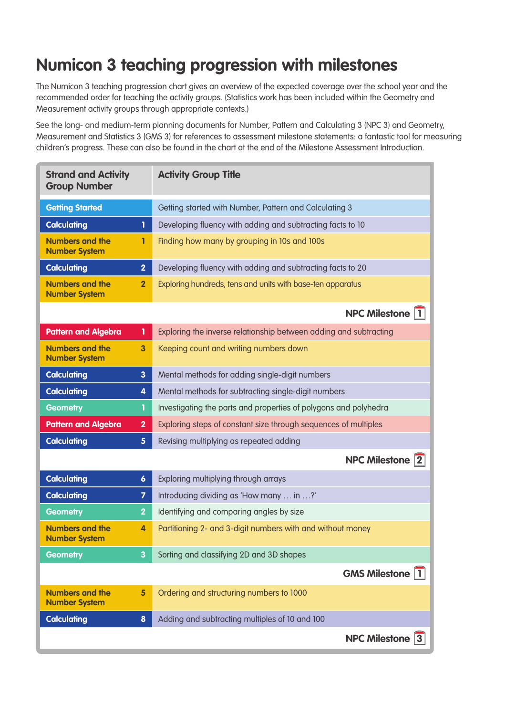## **Numicon 3 teaching progression with milestones**

The Numicon 3 teaching progression chart gives an overview of the expected coverage over the school year and the recommended order for teaching the activity groups. (Statistics work has been included within the Geometry and Measurement activity groups through appropriate contexts.)

See the long- and medium-term planning documents for Number, Pattern and Calculating 3 (NPC 3) and Geometry, Measurement and Statistics 3 (GMS 3) for references to assessment milestone statements: a fantastic tool for measuring children's progress. These can also be found in the chart at the end of the Milestone Assessment Introduction.

| <b>Strand and Activity</b><br><b>Group Number</b>                         | <b>Activity Group Title</b>                                       |
|---------------------------------------------------------------------------|-------------------------------------------------------------------|
| <b>Getting Started</b>                                                    | Getting started with Number, Pattern and Calculating 3            |
| <b>Calculating</b><br>1                                                   | Developing fluency with adding and subtracting facts to 10        |
| <b>Numbers and the</b><br>1<br><b>Number System</b>                       | Finding how many by grouping in 10s and 100s                      |
| <b>Calculating</b><br>$\overline{2}$                                      | Developing fluency with adding and subtracting facts to 20        |
| <b>Numbers and the</b><br>$\overline{2}$<br><b>Number System</b>          | Exploring hundreds, tens and units with base-ten apparatus        |
|                                                                           | <b>NPC Milestone 1</b>                                            |
| <b>Pattern and Algebra</b><br>1                                           | Exploring the inverse relationship between adding and subtracting |
| <b>Numbers and the</b><br>$\overline{\mathbf{3}}$<br><b>Number System</b> | Keeping count and writing numbers down                            |
| <b>Calculating</b><br>$\mathbf{3}$                                        | Mental methods for adding single-digit numbers                    |
| <b>Calculating</b><br>4                                                   | Mental methods for subtracting single-digit numbers               |
| <b>Geometry</b><br>T                                                      | Investigating the parts and properties of polygons and polyhedra  |
| <b>Pattern and Algebra</b><br>$\overline{2}$                              | Exploring steps of constant size through sequences of multiples   |
| <b>Calculating</b><br>5 <sup>5</sup>                                      | Revising multiplying as repeated adding                           |
|                                                                           | <b>NPC Milestone 2</b>                                            |
| <b>Calculating</b><br>$\boldsymbol{6}$                                    | Exploring multiplying through arrays                              |
| <b>Calculating</b><br>$\overline{\mathbf{z}}$                             | Introducing dividing as 'How many  in ?'                          |
| <b>Geometry</b><br>$\overline{2}$                                         | Identifying and comparing angles by size                          |
| <b>Numbers and the</b><br>4<br><b>Number System</b>                       | Partitioning 2- and 3-digit numbers with and without money        |
| <b>Geometry</b><br>3                                                      | Sorting and classifying 2D and 3D shapes                          |
|                                                                           | <b>GMS Milestone 1</b>                                            |
| <b>Numbers and the</b><br>$5\phantom{a}$<br><b>Number System</b>          | Ordering and structuring numbers to 1000                          |
| <b>Calculating</b><br>$\boldsymbol{8}$                                    | Adding and subtracting multiples of 10 and 100                    |
|                                                                           | <b>NPC Milestone 3</b>                                            |